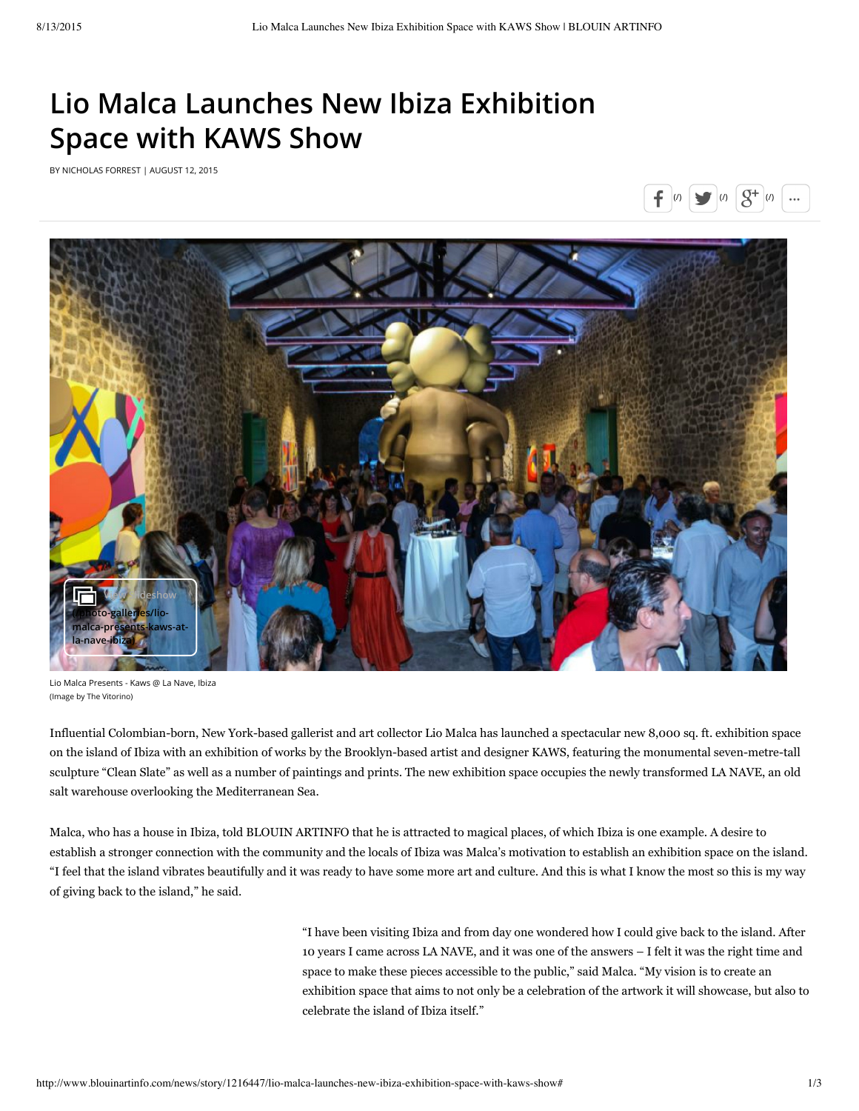## [Li](javascript:void(0))o [Malca](http://googleads.g.doubleclick.net/aclk?sa=L&ai=BPYHztQTNVZq5NsmXMNTJo5gPmMui5QYAAAAQASDmjI4MOABY-ImjrJYCYMnGqYvApNgPsgEVd3d3LmJsb3VpbmFydGluZm8uY29tugEJZ2ZwX2ltYWdlyAEC2gFsaHR0cDovL3d3dy5ibG91aW5hcnRpbmZvLmNvbS9uZXdzL3N0b3J5LzEyMTY0NDcvbGlvLW1hbGNhLWxhdW5jaGVzLW5ldy1pYml6YS1leGhpYml0aW9uLXNwYWNlLXdpdGgta2F3cy1zaG934AEDmAK4kQLAAgLgAgDqAh9BUlRJTkZPX1VTQV9ST1NfUmlnaHRTU18zMDB4NjAw-AKD0h6QA-ADmAPgA6gDAcgDmQTgBAGQBgGgBhTYBwE&num=0&cid=5GjF9LFCX_d5xDli-gUfaKL9&sig=AOD64_1YavMbukTYkxO2hiUrgiHAt5O75A&client=ca-pub-9692224465914577&adurl=http://www.sothebysinstitute.com/landingpages/landing/pages/index-online.html%3Futm_source%3DArtInfo%26utm_medium%3DBanner%26utm_campaign%3DAug15_ArtInfo_Online) Launches New Ibiza [Exhibition](http://googleads.g.doubleclick.net/aclk?sa=L&ai=BYIICtATNVeDRCZWNMMX4vqgJmMui5QYAAAAQASDmjI4MOABYgImjrJYCYMnGqYvApNgPsgEVd3d3LmJsb3VpbmFydGluZm8uY29tugEJZ2ZwX2ltYWdlyAEC2gFsaHR0cDovL3d3dy5ibG91aW5hcnRpbmZvLmNvbS9uZXdzL3N0b3J5LzEyMTY0NDcvbGlvLW1hbGNhLWxhdW5jaGVzLW5ldy1pYml6YS1leGhpYml0aW9uLXNwYWNlLXdpdGgta2F3cy1zaG93mAK4kQLAAgLgAgDqAhFBUlRJTkZPX1VTXzk3MHg5MPgCg9IekAPgA5gD4AOoAwHIA5kE4AQBkAYBoAYU2AcB&num=0&cid=5Gi0vk2kTJfgQ5qstb5nmwx4&sig=AOD64_0QabED36m0Yi9PgIkO2SmvL3AmVw&client=ca-pub-9692224465914577&adurl=http://www.sothebysinstitute.com/landingpages/landing/pages/index-online.html%3Futm_source%3DArtInfo%26utm_medium%3DBanner%26utm_campaign%3DAug15_ArtInfo_Online&nm=2) Space with KAWS Show

BY NICHOLAS FORREST | AUGUST 12, 2015





Lio Malca Presents - Kaws @ La Nave, Ibiza (Image by The Vitorino)

Influential Colombian-born, New York-based gallerist and art collector Lio Malca has launched a spectacular new 8,000 sq. ft. exhibition space on the island of Ibiza with an exhibition of works by the Brooklyn-based artist and designer KAWS, featuring the monumental seven-metre-tall sculpture "Clean Slate" as well as a number of paintings and prints. The new exhibition space occupies the newly transformed LA NAVE, an old salt warehouse overlooking the Mediterranean Sea.

Malca, who has a house in Ibiza, told BLOUIN ARTINFO that he is attracted to magical places, of which Ibiza is one example. A desire to establish a stronger connection with the community and the locals of Ibiza was Malca's motivation to establish an exhibition space on the island. "I feel that the island vibrates beautifully and it was ready to have some more art and culture. And this is what I know the most so this is my way of giving back to the island," he said.

> "I have been visiting Ibiza and from day one wondered how I could give back to the island. After 10 years I came across LA NAVE, and it was one of the answers – I felt it was the right time and space to make these pieces accessible to the public," said Malca. "My vision is to create an exhibition space that aims to not only be a celebration of the artwork it will showcase, but also to celebrate the island of Ibiza itself."